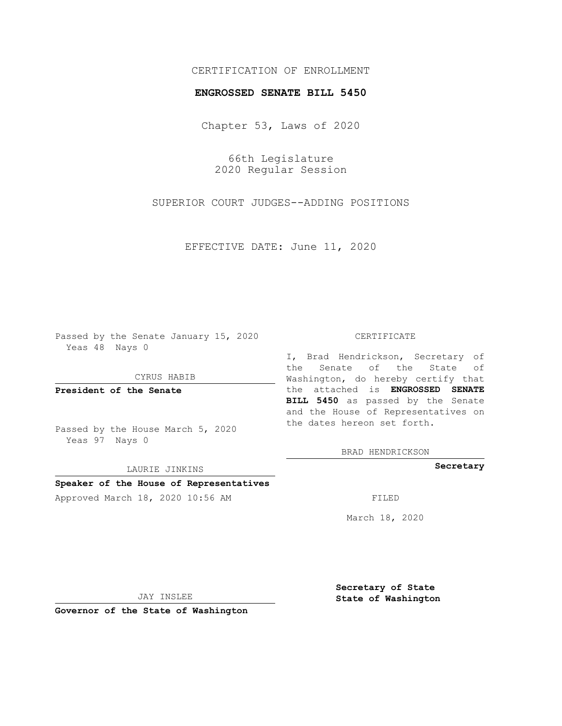## CERTIFICATION OF ENROLLMENT

#### **ENGROSSED SENATE BILL 5450**

Chapter 53, Laws of 2020

66th Legislature 2020 Regular Session

SUPERIOR COURT JUDGES--ADDING POSITIONS

EFFECTIVE DATE: June 11, 2020

Passed by the Senate January 15, 2020 Yeas 48 Nays 0

CYRUS HABIB

**President of the Senate**

Passed by the House March 5, 2020 Yeas 97 Nays 0

LAURIE JINKINS

# **Speaker of the House of Representatives**

Approved March 18, 2020 10:56 AM FILED

#### CERTIFICATE

I, Brad Hendrickson, Secretary of the Senate of the State of Washington, do hereby certify that the attached is **ENGROSSED SENATE BILL 5450** as passed by the Senate and the House of Representatives on the dates hereon set forth.

BRAD HENDRICKSON

**Secretary**

March 18, 2020

JAY INSLEE

**Governor of the State of Washington**

**Secretary of State State of Washington**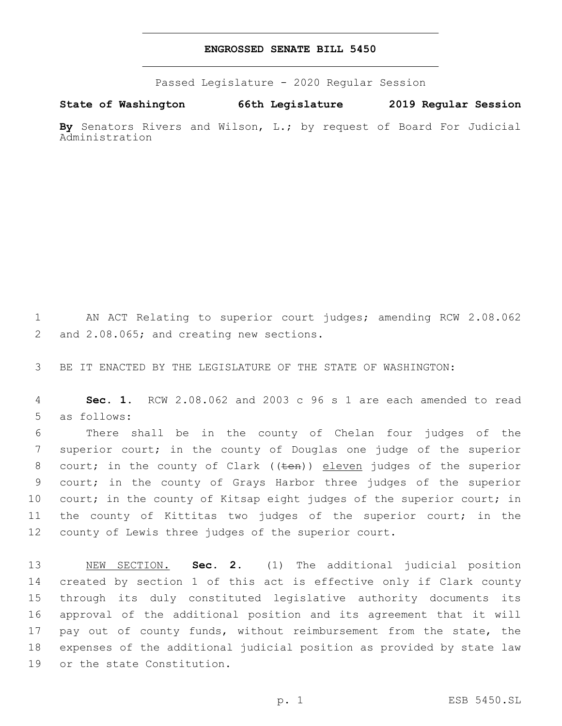### **ENGROSSED SENATE BILL 5450**

Passed Legislature - 2020 Regular Session

**State of Washington 66th Legislature 2019 Regular Session By** Senators Rivers and Wilson, L.; by request of Board For Judicial

Administration

1 AN ACT Relating to superior court judges; amending RCW 2.08.062 2 and 2.08.065; and creating new sections.

3 BE IT ENACTED BY THE LEGISLATURE OF THE STATE OF WASHINGTON:

4 **Sec. 1.** RCW 2.08.062 and 2003 c 96 s 1 are each amended to read 5 as follows:

 There shall be in the county of Chelan four judges of the superior court; in the county of Douglas one judge of the superior 8 court; in the county of Clark ((ten)) eleven judges of the superior court; in the county of Grays Harbor three judges of the superior 10 court; in the county of Kitsap eight judges of the superior court; in the county of Kittitas two judges of the superior court; in the county of Lewis three judges of the superior court.

 NEW SECTION. **Sec. 2.** (1) The additional judicial position created by section 1 of this act is effective only if Clark county through its duly constituted legislative authority documents its approval of the additional position and its agreement that it will 17 pay out of county funds, without reimbursement from the state, the expenses of the additional judicial position as provided by state law or the state Constitution.